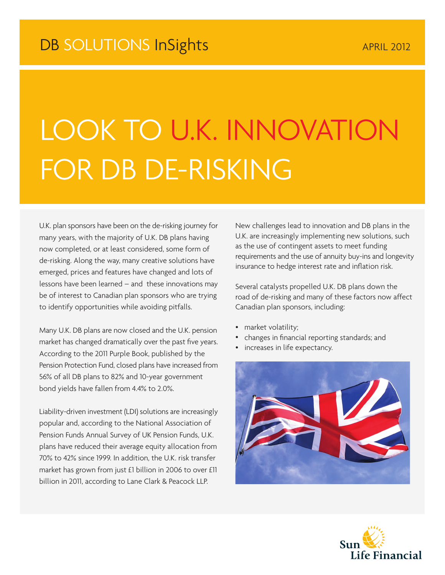## LOOK TO U.K. INNOVATION FOR DB DE-RISKING

U.K. plan sponsors have been on the de-risking journey for many years, with the majority of U.K. DB plans having now completed, or at least considered, some form of de-risking. Along the way, many creative solutions have emerged, prices and features have changed and lots of lessons have been learned – and these innovations may be of interest to Canadian plan sponsors who are trying to identify opportunities while avoiding pitfalls.

Many U.K. DB plans are now closed and the U.K. pension market has changed dramatically over the past five years. According to the 2011 Purple Book, published by the Pension Protection Fund, closed plans have increased from 56% of all DB plans to 82% and 10-year government bond yields have fallen from 4.4% to 2.0%.

Liability-driven investment (LDI) solutions are increasingly popular and, according to the National Association of Pension Funds Annual Survey of UK Pension Funds, U.K. plans have reduced their average equity allocation from 70% to 42% since 1999. In addition, the U.K. risk transfer market has grown from just £1 billion in 2006 to over £11 billion in 2011, according to Lane Clark & Peacock LLP.

New challenges lead to innovation and DB plans in the U.K. are increasingly implementing new solutions, such as the use of contingent assets to meet funding requirements and the use of annuity buy-ins and longevity insurance to hedge interest rate and inflation risk.

Several catalysts propelled U.K. DB plans down the road of de-risking and many of these factors now affect Canadian plan sponsors, including:

- market volatility;
- changes in financial reporting standards; and
- increases in life expectancy.